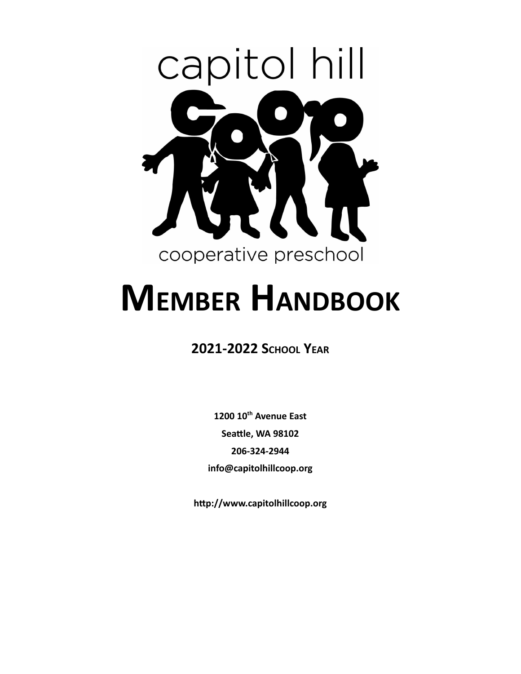

# **MEMBER HANDBOOK**

### **2021-2022 SCHOOL YEAR**

**1200 10th Avenue East Seattle, WA 98102 206-324-2944 info@capitolhillcoop.org**

**hp://www.capitolhillcoop.org**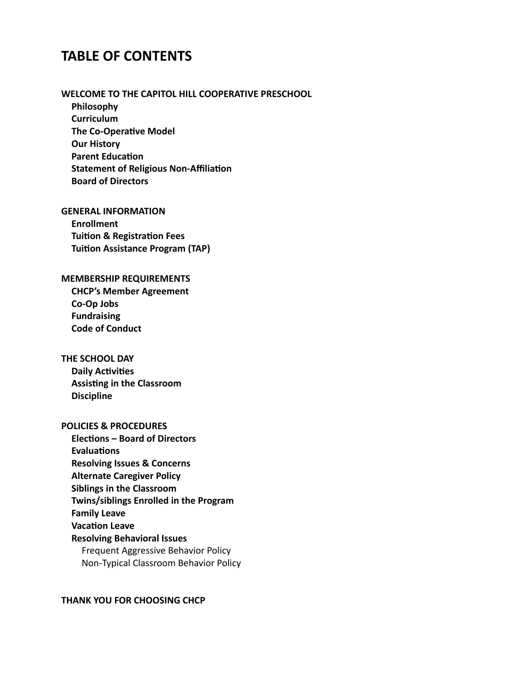### **TABLE OF CONTENTS**

#### **WELCOME TO THE CAPITOL HILL COOPERATIVE PRESCHOOL**

**Philosophy Curriculum The Co-Operative Model Our History Parent Education Statement of Religious Non-Affiliation Board of Directors**

#### **GENERAL INFORMATION**

**Enrollment Tuition & Registration Fees Tuition Assistance Program (TAP)** 

#### **MEMBERSHIP REQUIREMENTS**

**CHCP's Member Agreement Co-Op Jobs Fundraising Code of Conduct**

#### **THE SCHOOL DAY**

**Daily Activities Assisting in the Classroom Discipline**

#### **POLICIES & PROCEDURES**

**Elecons – Board of Directors Evaluations Resolving Issues & Concerns Alternate Caregiver Policy Siblings in the Classroom Twins/siblings Enrolled in the Program Family Leave Vacation Leave Resolving Behavioral Issues** Frequent Aggressive Behavior Policy Non-Typical Classroom Behavior Policy

#### **THANK YOU FOR CHOOSING CHCP**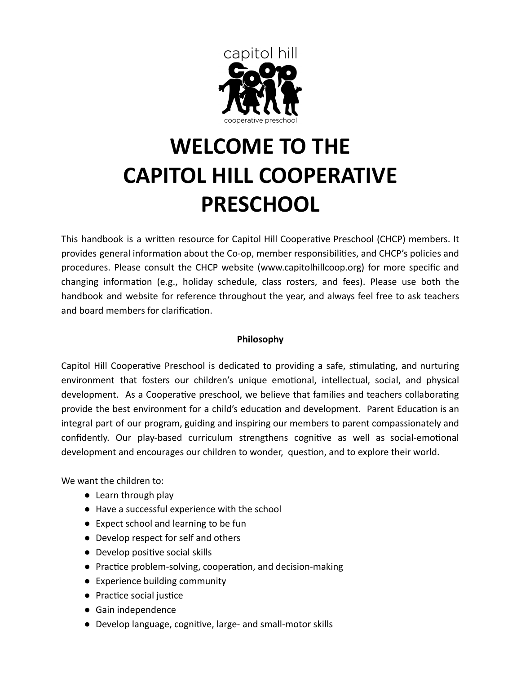

# **WELCOME TO THE CAPITOL HILL COOPERATIVE PRESCHOOL**

This handbook is a written resource for Capitol Hill Cooperative Preschool (CHCP) members. It provides general information about the Co-op, member responsibilities, and CHCP's policies and procedures. Please consult the CHCP website ([www.capitolhillcoop.org](http://www.capitolhillcoop.org/)) for more specific and changing information (e.g., holiday schedule, class rosters, and fees). Please use both the handbook and website for reference throughout the year, and always feel free to ask teachers and board members for clarification.

#### **Philosophy**

Capitol Hill Cooperative Preschool is dedicated to providing a safe, stimulating, and nurturing environment that fosters our children's unique emotional, intellectual, social, and physical development. As a Cooperative preschool, we believe that families and teachers collaborating provide the best environment for a child's education and development. Parent Education is an integral part of our program, guiding and inspiring our members to parent compassionately and confidently. Our play-based curriculum strengthens cognitive as well as social-emotional development and encourages our children to wonder, question, and to explore their world.

We want the children to:

- Learn through play
- Have a successful experience with the school
- Expect school and learning to be fun
- Develop respect for self and others
- $\bullet$  Develop positive social skills
- $\bullet$  Practice problem-solving, cooperation, and decision-making
- Experience building community
- Practice social justice
- Gain independence
- Develop language, cognitive, large- and small-motor skills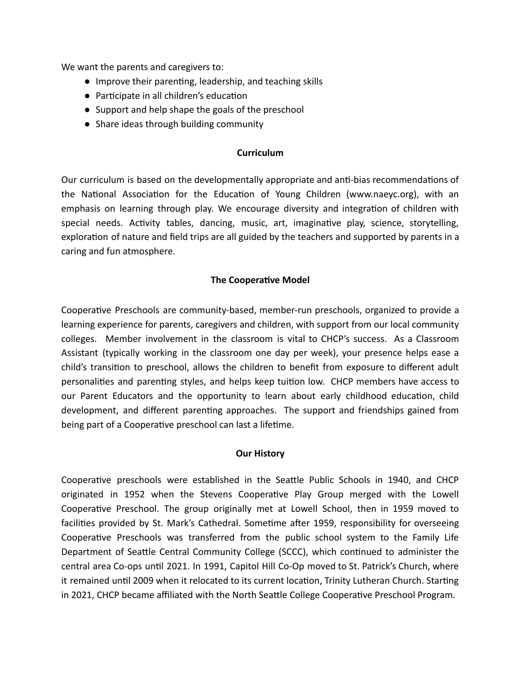We want the parents and caregivers to:

- $\bullet$  Improve their parenting, leadership, and teaching skills
- Participate in all children's education
- Support and help shape the goals of the preschool
- Share ideas through building community

#### **Curriculum**

Our curriculum is based on the developmentally appropriate and anti-bias recommendations of the National Association for the Education of Young Children ([www.naeyc.org](http://www.naeyc.org/)), with an emphasis on learning through play. We encourage diversity and integration of children with special needs. Activity tables, dancing, music, art, imaginative play, science, storytelling, exploration of nature and field trips are all guided by the teachers and supported by parents in a caring and fun atmosphere.

#### **The Cooperative Model**

Cooperative Preschools are community-based, member-run preschools, organized to provide a learning experience for parents, caregivers and children, with support from our local community colleges. Member involvement in the classroom is vital to CHCP's success. As a Classroom Assistant (typically working in the classroom one day per week), your presence helps ease a child's transition to preschool, allows the children to benefit from exposure to different adult personalities and parenting styles, and helps keep tuition low. CHCP members have access to our Parent Educators and the opportunity to learn about early childhood education, child development, and different parenting approaches. The support and friendships gained from being part of a Cooperative preschool can last a lifetime.

#### **Our History**

Cooperative preschools were established in the Seattle Public Schools in 1940, and CHCP originated in 1952 when the Stevens Cooperative Play Group merged with the Lowell Cooperative Preschool. The group originally met at Lowell School, then in 1959 moved to facilities provided by St. Mark's Cathedral. Sometime after 1959, responsibility for overseeing Cooperative Preschools was transferred from the public school system to the Family Life Department of Seattle Central Community College (SCCC), which continued to administer the central area Co-ops until 2021. In 1991, Capitol Hill Co-Op moved to St. Patrick's Church, where it remained until 2009 when it relocated to its current location, Trinity Lutheran Church. Starting in 2021, CHCP became affiliated with the North Seattle College Cooperative Preschool Program.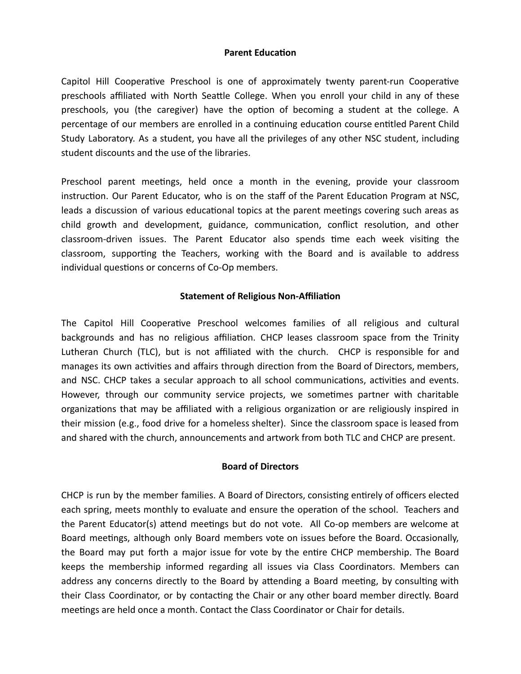#### **Parent Education**

Capitol Hill Cooperative Preschool is one of approximately twenty parent-run Cooperative preschools affiliated with North Seattle College. When you enroll your child in any of these preschools, you (the caregiver) have the option of becoming a student at the college. A percentage of our members are enrolled in a continuing education course entitled Parent Child Study Laboratory. As a student, you have all the privileges of any other NSC student, including student discounts and the use of the libraries.

Preschool parent meetings, held once a month in the evening, provide your classroom instruction. Our Parent Educator, who is on the staff of the Parent Education Program at NSC, leads a discussion of various educational topics at the parent meetings covering such areas as child growth and development, guidance, communication, conflict resolution, and other classroom-driven issues. The Parent Educator also spends time each week visiting the classroom, supporting the Teachers, working with the Board and is available to address individual questions or concerns of Co-Op members.

#### **Statement of Religious Non-Affiliation**

The Capitol Hill Cooperative Preschool welcomes families of all religious and cultural backgrounds and has no religious affiliation. CHCP leases classroom space from the Trinity Lutheran Church (TLC), but is not affiliated with the church. CHCP is responsible for and manages its own activities and affairs through direction from the Board of Directors, members, and NSC. CHCP takes a secular approach to all school communications, activities and events. However, through our community service projects, we sometimes partner with charitable organizations that may be affiliated with a religious organization or are religiously inspired in their mission (e.g., food drive for a homeless shelter). Since the classroom space is leased from and shared with the church, announcements and artwork from both TLC and CHCP are present.

#### **Board of Directors**

CHCP is run by the member families. A Board of Directors, consisting entirely of officers elected each spring, meets monthly to evaluate and ensure the operation of the school. Teachers and the Parent Educator(s) attend meetings but do not vote. All Co-op members are welcome at Board meetings, although only Board members vote on issues before the Board. Occasionally, the Board may put forth a major issue for vote by the entire CHCP membership. The Board keeps the membership informed regarding all issues via Class Coordinators. Members can address any concerns directly to the Board by attending a Board meeting, by consulting with their Class Coordinator, or by contacting the Chair or any other board member directly. Board meetings are held once a month. Contact the Class Coordinator or Chair for details.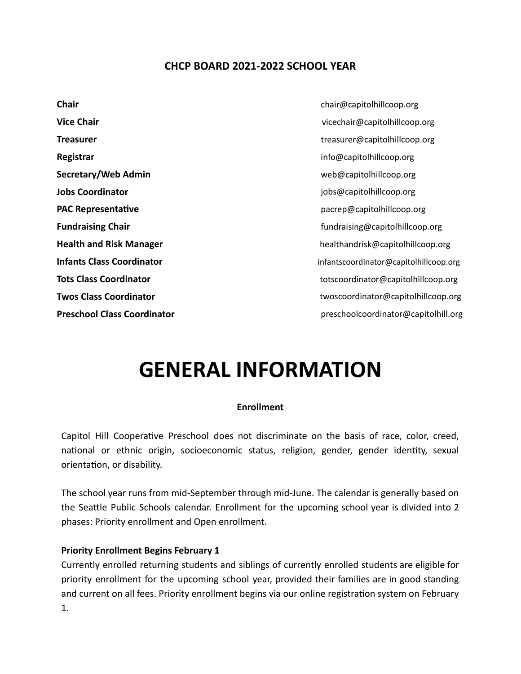#### **CHCP BOARD 2021-2022 SCHOOL YEAR**

**Chair** chair chair chair chair chair chair chair chair chair chair chair chair chair chair chair chair chair chair chair chair chair chair chair chair chair chair chair chair chair chair chair chair chair chair chair chai **Registrar** info@capitolhillcoop.org **Secretary/Web Admin** web@capitolhillcoop.org **Jobs Coordinator Jobs Coordinator jobs@capitolhillcoop.org PAC Representative** *PAC Representative pacrep@capitolhillcoop.org* 

**Vice Chair** vicechair@capitolhillcoop.org **Treasurer** treasurer treasurer treasurer treasurer treasurer treasurer treasurer treasurer treasurer treasurer treasurer treasurer treasurer treasurer treasurer treasurer treasurer treasurer treasurer treasurer treasurer **Fundraising Chair fundraising Chair fundraising capitolhillcoop.org Health and Risk Manager** healthandrisk@capitolhillcoop.org **Infants Class Coordinator** infantscoordinator@capitolhillcoop.org **Tots Class Coordinator** Totscoordinator@capitolhillcoop.org **Twos Class Coordinator** Twoscoordinator@capitolhillcoop.org **Preschool Class Coordinator preschoolcoordinator preschoolcoordinator preschoolcoordinator preschoolcoordinator preschoolcoordinator preschoolcoordinator preschoolcoordinator preschoolcoordinator prescho** 

### **GENERAL INFORMATION**

#### **Enrollment**

Capitol Hill Cooperative Preschool does not discriminate on the basis of race, color, creed, national or ethnic origin, socioeconomic status, religion, gender, gender identity, sexual orientation, or disability.

The school year runs from mid-September through mid-June. The calendar is generally based on the Seattle Public Schools calendar. Enrollment for the upcoming school year is divided into 2 phases: Priority enrollment and Open enrollment.

#### **Priority Enrollment Begins February 1**

Currently enrolled returning students and siblings of currently enrolled students are eligible for priority enrollment for the upcoming school year, provided their families are in good standing and current on all fees. Priority enrollment begins via our online registration system on February 1.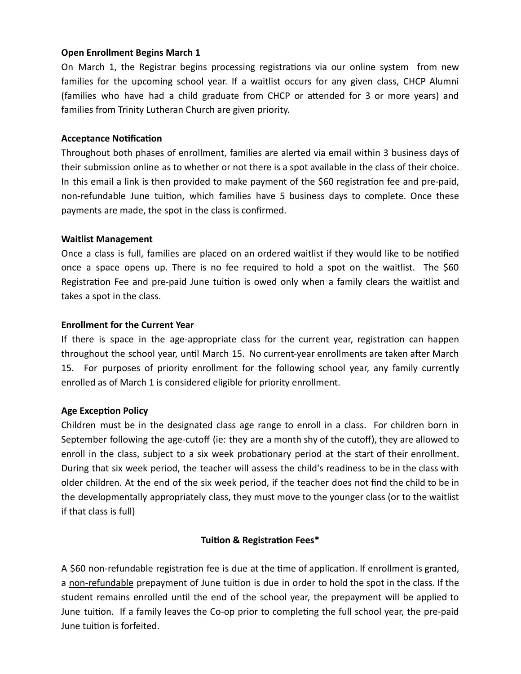#### **Open Enrollment Begins March 1**

On March 1, the Registrar begins processing registrations via our online system from new families for the upcoming school year. If a waitlist occurs for any given class, CHCP Alumni (families who have had a child graduate from CHCP or attended for 3 or more years) and families from Trinity Lutheran Church are given priority.

#### **Acceptance Notification**

Throughout both phases of enrollment, families are alerted via email within 3 business days of their submission online as to whether or not there is a spot available in the class of their choice. In this email a link is then provided to make payment of the \$60 registration fee and pre-paid, non-refundable June tuition, which families have 5 business days to complete. Once these payments are made, the spot in the class is confirmed.

#### **Waitlist Management**

Once a class is full, families are placed on an ordered waitlist if they would like to be nofied once a space opens up. There is no fee required to hold a spot on the waitlist. The \$60 Registration Fee and pre-paid June tuition is owed only when a family clears the waitlist and takes a spot in the class.

#### **Enrollment for the Current Year**

If there is space in the age-appropriate class for the current year, registration can happen throughout the school year, until March 15. No current-year enrollments are taken after March 15. For purposes of priority enrollment for the following school year, any family currently enrolled as of March 1 is considered eligible for priority enrollment.

#### **Age Exception Policy**

Children must be in the designated class age range to enroll in a class. For children born in September following the age-cutoff (ie: they are a month shy of the cutoff), they are allowed to enroll in the class, subject to a six week probationary period at the start of their enrollment. During that six week period, the teacher will assess the child's readiness to be in the class with older children. At the end of the six week period, if the teacher does not find the child to be in the developmentally appropriately class, they must move to the younger class (or to the waitlist if that class is full)

#### **Tuition & Registration Fees\***

A \$60 non-refundable registration fee is due at the time of application. If enrollment is granted, a non-refundable prepayment of June tuition is due in order to hold the spot in the class. If the student remains enrolled until the end of the school year, the prepayment will be applied to June tuition. If a family leaves the Co-op prior to completing the full school year, the pre-paid June tuition is forfeited.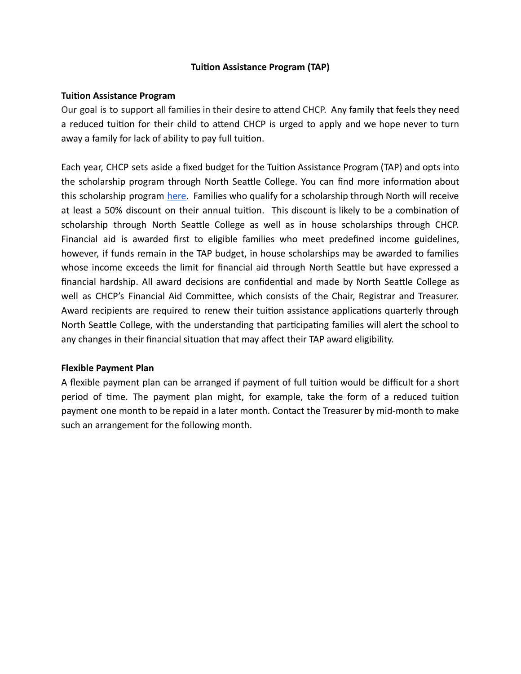#### **Tuition Assistance Program (TAP)**

#### **Tuition Assistance Program**

Our goal is to support all families in their desire to attend CHCP. Any family that feels they need a reduced tuition for their child to attend CHCP is urged to apply and we hope never to turn away a family for lack of ability to pay full tuition.

Each year, CHCP sets aside a fixed budget for the Tuition Assistance Program (TAP) and opts into the scholarship program through North Seattle College. You can find more information about this scholarship program [here.](https://northseattlecoops.org/enrollment/scholarship-information/) Families who qualify for a scholarship through North will receive at least a 50% discount on their annual tuition. This discount is likely to be a combination of scholarship through North Seattle College as well as in house scholarships through CHCP. Financial aid is awarded first to eligible families who meet predefined income guidelines, however, if funds remain in the TAP budget, in house scholarships may be awarded to families whose income exceeds the limit for financial aid through North Seattle but have expressed a financial hardship. All award decisions are confidential and made by North Seattle College as well as CHCP's Financial Aid Committee, which consists of the Chair, Registrar and Treasurer. Award recipients are required to renew their tuition assistance applications quarterly through North Seattle College, with the understanding that participating families will alert the school to any changes in their financial situation that may affect their TAP award eligibility.

#### **Flexible Payment Plan**

A flexible payment plan can be arranged if payment of full tuition would be difficult for a short period of time. The payment plan might, for example, take the form of a reduced tuition payment one month to be repaid in a later month. Contact the Treasurer by mid-month to make such an arrangement for the following month.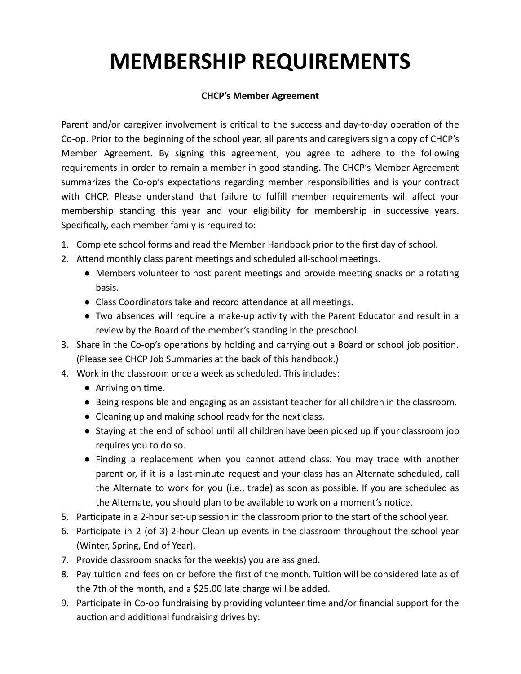## **MEMBERSHIP REQUIREMENTS**

#### **CHCP's Member Agreement**

Parent and/or caregiver involvement is critical to the success and day-to-day operation of the Co-op. Prior to the beginning of the school year, all parents and caregivers sign a copy of CHCP's Member Agreement. By signing this agreement, you agree to adhere to the following requirements in order to remain a member in good standing. The CHCP's Member Agreement summarizes the Co-op's expectations regarding member responsibilities and is your contract with CHCP. Please understand that failure to fulfill member requirements will affect your membership standing this year and your eligibility for membership in successive years. Specifically, each member family is required to:

- 1. Complete school forms and read the Member Handbook prior to the first day of school.
- 2. Attend monthly class parent meetings and scheduled all-school meetings.
	- Members volunteer to host parent meetings and provide meeting snacks on a rotating basis.
	- Class Coordinators take and record attendance at all meetings.
	- Two absences will require a make-up activity with the Parent Educator and result in a review by the Board of the member's standing in the preschool.
- 3. Share in the Co-op's operations by holding and carrying out a Board or school job position. (Please see CHCP Job Summaries at the back of this handbook.)
- 4. Work in the classroom once a week as scheduled. This includes:
	- $\bullet$  Arriving on time.
	- Being responsible and engaging as an assistant teacher for all children in the classroom.
	- Cleaning up and making school ready for the next class.
	- Staying at the end of school until all children have been picked up if your classroom job requires you to do so.
	- Finding a replacement when you cannot attend class. You may trade with another parent or, if it is a last-minute request and your class has an Alternate scheduled, call the Alternate to work for you (i.e., trade) as soon as possible. If you are scheduled as the Alternate, you should plan to be available to work on a moment's notice.
- 5. Parcipate in a 2-hour set-up session in the classroom prior to the start of the school year.
- 6. Parcipate in 2 (of 3) 2-hour Clean up events in the classroom throughout the school year (Winter, Spring, End of Year).
- 7. Provide classroom snacks for the week(s) you are assigned.
- 8. Pay tuition and fees on or before the first of the month. Tuition will be considered late as of the 7th of the month, and a \$25.00 late charge will be added.
- 9. Participate in Co-op fundraising by providing volunteer time and/or financial support for the auction and additional fundraising drives by: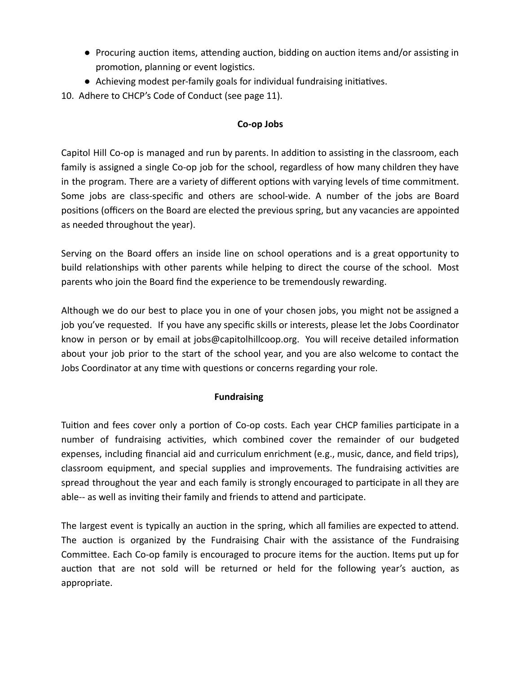- Procuring auction items, attending auction, bidding on auction items and/or assisting in promotion, planning or event logistics.
- Achieving modest per-family goals for individual fundraising initiatives.
- 10. Adhere to CHCP's Code of Conduct (see page 11).

#### **Co-op Jobs**

Capitol Hill Co-op is managed and run by parents. In addition to assisting in the classroom, each family is assigned a single Co-op job for the school, regardless of how many children they have in the program. There are a variety of different options with varying levels of time commitment. Some jobs are class-specific and others are school-wide. A number of the jobs are Board positions (officers on the Board are elected the previous spring, but any vacancies are appointed as needed throughout the year).

Serving on the Board offers an inside line on school operations and is a great opportunity to build relationships with other parents while helping to direct the course of the school. Most parents who join the Board find the experience to be tremendously rewarding.

Although we do our best to place you in one of your chosen jobs, you might not be assigned a job you've requested. If you have any specific skills or interests, please let the Jobs Coordinator know in person or by email at jobs@capitolhillcoop.org. You will receive detailed information about your job prior to the start of the school year, and you are also welcome to contact the Jobs Coordinator at any time with questions or concerns regarding your role.

#### **Fundraising**

Tuition and fees cover only a portion of Co-op costs. Each year CHCP families participate in a number of fundraising activities, which combined cover the remainder of our budgeted expenses, including financial aid and curriculum enrichment (e.g., music, dance, and field trips), classroom equipment, and special supplies and improvements. The fundraising activities are spread throughout the year and each family is strongly encouraged to participate in all they are able-- as well as inviting their family and friends to attend and participate.

The largest event is typically an auction in the spring, which all families are expected to attend. The auction is organized by the Fundraising Chair with the assistance of the Fundraising Committee. Each Co-op family is encouraged to procure items for the auction. Items put up for auction that are not sold will be returned or held for the following year's auction, as appropriate.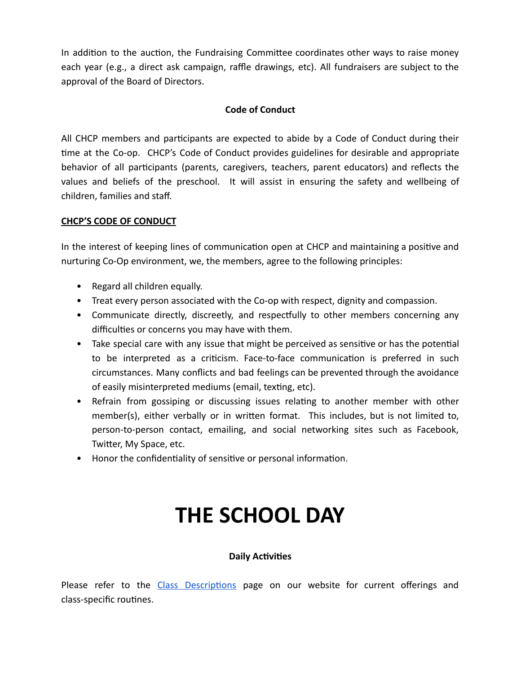In addition to the auction, the Fundraising Committee coordinates other ways to raise money each year (e.g., a direct ask campaign, raffle drawings, etc). All fundraisers are subject to the approval of the Board of Directors.

#### **Code of Conduct**

All CHCP members and participants are expected to abide by a Code of Conduct during their me at the Co-op. CHCP's Code of Conduct provides guidelines for desirable and appropriate behavior of all participants (parents, caregivers, teachers, parent educators) and reflects the values and beliefs of the preschool. It will assist in ensuring the safety and wellbeing of children, families and staff.

#### **CHCP'S CODE OF CONDUCT**

In the interest of keeping lines of communication open at CHCP and maintaining a positive and nurturing Co-Op environment, we, the members, agree to the following principles:

- Regard all children equally.
- Treat every person associated with the Co-op with respect, dignity and compassion.
- Communicate directly, discreetly, and respectfully to other members concerning any difficulties or concerns you may have with them.
- Take special care with any issue that might be perceived as sensitive or has the potential to be interpreted as a criticism. Face-to-face communication is preferred in such circumstances. Many conflicts and bad feelings can be prevented through the avoidance of easily misinterpreted mediums (email, texting, etc).
- Refrain from gossiping or discussing issues relating to another member with other member(s), either verbally or in written format. This includes, but is not limited to, person-to-person contact, emailing, and social networking sites such as Facebook, Twitter, My Space, etc.
- Honor the confidentiality of sensitive or personal information.

### **THE SCHOOL DAY**

#### **Daily Activities**

Please refer to the Class Descriptions page on our website for current offerings and class-specific routines.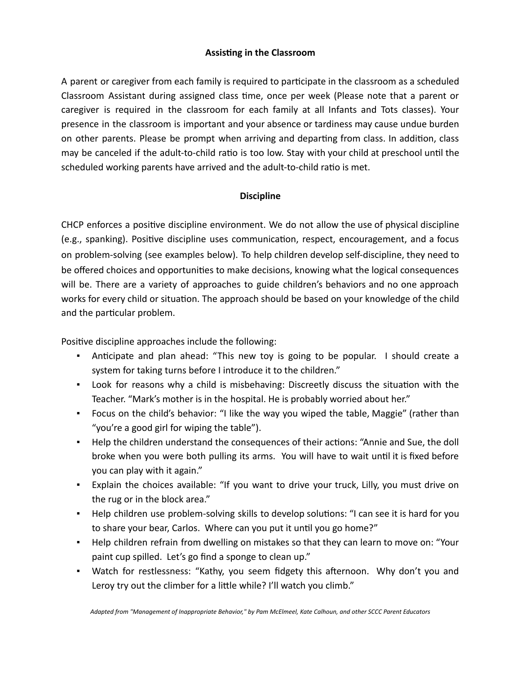#### **Assisting in the Classroom**

A parent or caregiver from each family is required to participate in the classroom as a scheduled Classroom Assistant during assigned class time, once per week (Please note that a parent or caregiver is required in the classroom for each family at all Infants and Tots classes). Your presence in the classroom is important and your absence or tardiness may cause undue burden on other parents. Please be prompt when arriving and departing from class. In addition, class may be canceled if the adult-to-child ratio is too low. Stay with your child at preschool until the scheduled working parents have arrived and the adult-to-child ratio is met.

#### **Discipline**

CHCP enforces a positive discipline environment. We do not allow the use of physical discipline (e.g., spanking). Positive discipline uses communication, respect, encouragement, and a focus on problem-solving (see examples below). To help children develop self-discipline, they need to be offered choices and opportunities to make decisions, knowing what the logical consequences will be. There are a variety of approaches to guide children's behaviors and no one approach works for every child or situation. The approach should be based on your knowledge of the child and the particular problem.

Positive discipline approaches include the following:

- **•** Anticipate and plan ahead: "This new toy is going to be popular. I should create a system for taking turns before I introduce it to the children."
- Look for reasons why a child is misbehaving: Discreetly discuss the situation with the Teacher. "Mark's mother is in the hospital. He is probably worried about her."
- Focus on the child's behavior: "I like the way you wiped the table, Maggie" (rather than "you're a good girl for wiping the table").
- **•** Help the children understand the consequences of their actions: "Annie and Sue, the doll broke when you were both pulling its arms. You will have to wait until it is fixed before you can play with it again."
- Explain the choices available: "If you want to drive your truck, Lilly, you must drive on the rug or in the block area."
- Help children use problem-solving skills to develop solutions: "I can see it is hard for you to share your bear, Carlos. Where can you put it until you go home?"
- Help children refrain from dwelling on mistakes so that they can learn to move on: "Your paint cup spilled. Let's go find a sponge to clean up."
- Watch for restlessness: "Kathy, you seem fidgety this afternoon. Why don't you and Leroy try out the climber for a little while? I'll watch you climb."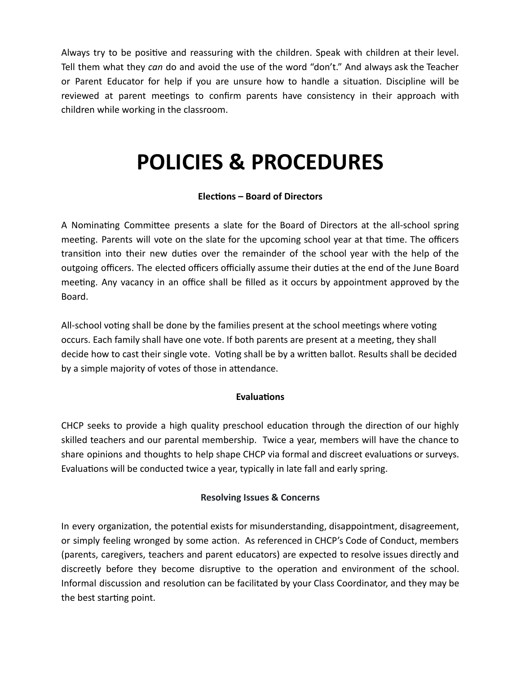Always try to be positive and reassuring with the children. Speak with children at their level. Tell them what they *can* do and avoid the use of the word "don't." And always ask the Teacher or Parent Educator for help if you are unsure how to handle a situation. Discipline will be reviewed at parent meetings to confirm parents have consistency in their approach with children while working in the classroom.

### **POLICIES & PROCEDURES**

#### **Elecons – Board of Directors**

A Nominating Committee presents a slate for the Board of Directors at the all-school spring meeting. Parents will vote on the slate for the upcoming school year at that time. The officers transition into their new duties over the remainder of the school year with the help of the outgoing officers. The elected officers officially assume their duties at the end of the June Board meeting. Any vacancy in an office shall be filled as it occurs by appointment approved by the Board.

All-school voting shall be done by the families present at the school meetings where voting occurs. Each family shall have one vote. If both parents are present at a meeting, they shall decide how to cast their single vote. Voting shall be by a written ballot. Results shall be decided by a simple majority of votes of those in attendance.

#### **Evaluations**

CHCP seeks to provide a high quality preschool education through the direction of our highly skilled teachers and our parental membership. Twice a year, members will have the chance to share opinions and thoughts to help shape CHCP via formal and discreet evaluations or surveys. Evaluations will be conducted twice a year, typically in late fall and early spring.

#### **Resolving Issues & Concerns**

In every organization, the potential exists for misunderstanding, disappointment, disagreement, or simply feeling wronged by some action. As referenced in CHCP's Code of Conduct, members (parents, caregivers, teachers and parent educators) are expected to resolve issues directly and discreetly before they become disruptive to the operation and environment of the school. Informal discussion and resolution can be facilitated by your Class Coordinator, and they may be the best starting point.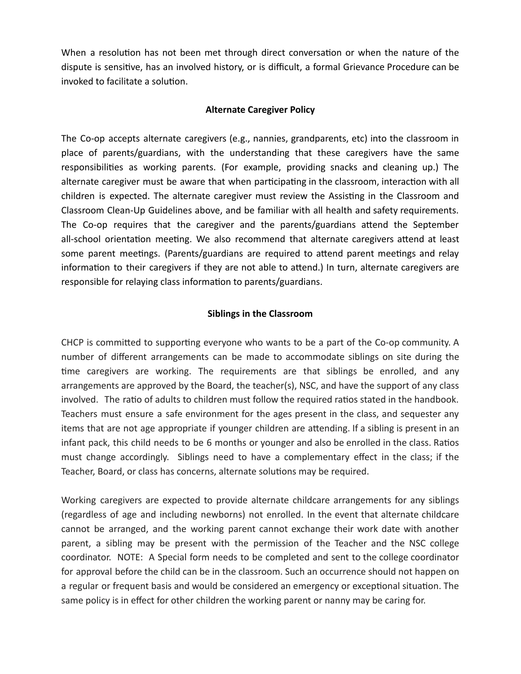When a resolution has not been met through direct conversation or when the nature of the dispute is sensitive, has an involved history, or is difficult, a formal Grievance Procedure can be invoked to facilitate a solution.

#### **Alternate Caregiver Policy**

The Co-op accepts alternate caregivers (e.g., nannies, grandparents, etc) into the classroom in place of parents/guardians, with the understanding that these caregivers have the same responsibilities as working parents. (For example, providing snacks and cleaning up.) The alternate caregiver must be aware that when participating in the classroom, interaction with all children is expected. The alternate caregiver must review the Assisting in the Classroom and Classroom Clean-Up Guidelines above, and be familiar with all health and safety requirements. The Co-op requires that the caregiver and the parents/guardians attend the September all-school orientation meeting. We also recommend that alternate caregivers attend at least some parent meetings. (Parents/guardians are required to attend parent meetings and relay information to their caregivers if they are not able to attend.) In turn, alternate caregivers are responsible for relaying class information to parents/guardians.

#### **Siblings in the Classroom**

CHCP is committed to supporting everyone who wants to be a part of the Co-op community. A number of different arrangements can be made to accommodate siblings on site during the time caregivers are working. The requirements are that siblings be enrolled, and any arrangements are approved by the Board, the teacher(s), NSC, and have the support of any class involved. The ratio of adults to children must follow the required ratios stated in the handbook. Teachers must ensure a safe environment for the ages present in the class, and sequester any items that are not age appropriate if younger children are attending. If a sibling is present in an infant pack, this child needs to be 6 months or younger and also be enrolled in the class. Ratios must change accordingly. Siblings need to have a complementary effect in the class; if the Teacher, Board, or class has concerns, alternate solutions may be required.

Working caregivers are expected to provide alternate childcare arrangements for any siblings (regardless of age and including newborns) not enrolled. In the event that alternate childcare cannot be arranged, and the working parent cannot exchange their work date with another parent, a sibling may be present with the permission of the Teacher and the NSC college coordinator. NOTE: A Special form needs to be completed and sent to the college coordinator for approval before the child can be in the classroom. Such an occurrence should not happen on a regular or frequent basis and would be considered an emergency or exceptional situation. The same policy is in effect for other children the working parent or nanny may be caring for.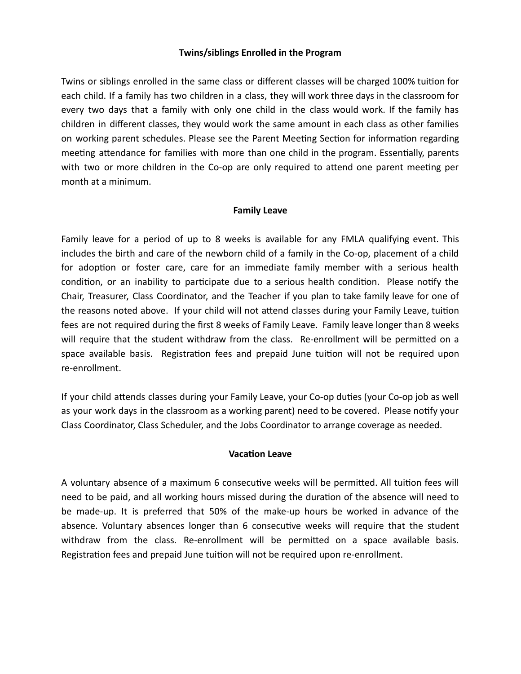#### **Twins/siblings Enrolled in the Program**

Twins or siblings enrolled in the same class or different classes will be charged 100% tuition for each child. If a family has two children in a class, they will work three days in the classroom for every two days that a family with only one child in the class would work. If the family has children in different classes, they would work the same amount in each class as other families on working parent schedules. Please see the Parent Meeting Section for information regarding meeting attendance for families with more than one child in the program. Essentially, parents with two or more children in the Co-op are only required to attend one parent meeting per month at a minimum.

#### **Family Leave**

Family leave for a period of up to 8 weeks is available for any FMLA qualifying event. This includes the birth and care of the newborn child of a family in the Co-op, placement of a child for adoption or foster care, care for an immediate family member with a serious health condition, or an inability to participate due to a serious health condition. Please notify the Chair, Treasurer, Class Coordinator, and the Teacher if you plan to take family leave for one of the reasons noted above. If your child will not attend classes during your Family Leave, tuition fees are not required during the first 8 weeks of Family Leave. Family leave longer than 8 weeks will require that the student withdraw from the class. Re-enrollment will be permitted on a space available basis. Registration fees and prepaid June tuition will not be required upon re-enrollment.

If your child attends classes during your Family Leave, your Co-op duties (your Co-op job as well as your work days in the classroom as a working parent) need to be covered. Please notify your Class Coordinator, Class Scheduler, and the Jobs Coordinator to arrange coverage as needed.

#### **Vacation Leave**

A voluntary absence of a maximum 6 consecutive weeks will be permitted. All tuition fees will need to be paid, and all working hours missed during the duration of the absence will need to be made-up. It is preferred that 50% of the make-up hours be worked in advance of the absence. Voluntary absences longer than 6 consecutive weeks will require that the student withdraw from the class. Re-enrollment will be permitted on a space available basis. Registration fees and prepaid June tuition will not be required upon re-enrollment.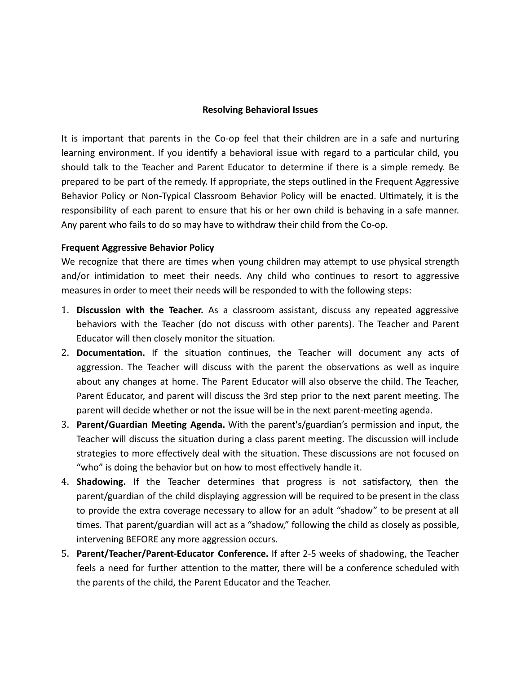#### **Resolving Behavioral Issues**

It is important that parents in the Co-op feel that their children are in a safe and nurturing learning environment. If you identify a behavioral issue with regard to a particular child, you should talk to the Teacher and Parent Educator to determine if there is a simple remedy. Be prepared to be part of the remedy. If appropriate, the steps outlined in the Frequent Aggressive Behavior Policy or Non-Typical Classroom Behavior Policy will be enacted. Ultimately, it is the responsibility of each parent to ensure that his or her own child is behaving in a safe manner. Any parent who fails to do so may have to withdraw their child from the Co-op.

#### **Frequent Aggressive Behavior Policy**

We recognize that there are times when young children may attempt to use physical strength and/or intimidation to meet their needs. Any child who continues to resort to aggressive measures in order to meet their needs will be responded to with the following steps:

- 1. **Discussion with the Teacher.** As a classroom assistant, discuss any repeated aggressive behaviors with the Teacher (do not discuss with other parents). The Teacher and Parent Educator will then closely monitor the situation.
- 2. **Documentation.** If the situation continues, the Teacher will document any acts of aggression. The Teacher will discuss with the parent the observations as well as inquire about any changes at home. The Parent Educator will also observe the child. The Teacher, Parent Educator, and parent will discuss the 3rd step prior to the next parent meeting. The parent will decide whether or not the issue will be in the next parent-meeting agenda.
- 3. **Parent/Guardian Meeng Agenda.** With the parent's/guardian's permission and input, the Teacher will discuss the situation during a class parent meeting. The discussion will include strategies to more effectively deal with the situation. These discussions are not focused on "who" is doing the behavior but on how to most effectively handle it.
- 4. **Shadowing.** If the Teacher determines that progress is not satisfactory, then the parent/guardian of the child displaying aggression will be required to be present in the class to provide the extra coverage necessary to allow for an adult "shadow" to be present at all times. That parent/guardian will act as a "shadow," following the child as closely as possible, intervening BEFORE any more aggression occurs.
- 5. **Parent/Teacher/Parent-Educator Conference.** If after 2-5 weeks of shadowing, the Teacher feels a need for further attention to the matter, there will be a conference scheduled with the parents of the child, the Parent Educator and the Teacher.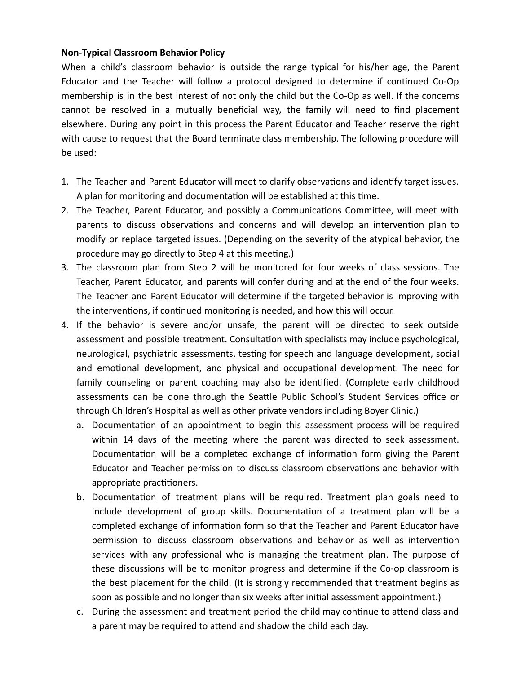#### **Non-Typical Classroom Behavior Policy**

When a child's classroom behavior is outside the range typical for his/her age, the Parent Educator and the Teacher will follow a protocol designed to determine if continued Co-Op membership is in the best interest of not only the child but the Co-Op as well. If the concerns cannot be resolved in a mutually beneficial way, the family will need to find placement elsewhere. During any point in this process the Parent Educator and Teacher reserve the right with cause to request that the Board terminate class membership. The following procedure will be used:

- 1. The Teacher and Parent Educator will meet to clarify observations and identify target issues. A plan for monitoring and documentation will be established at this time.
- 2. The Teacher, Parent Educator, and possibly a Communications Committee, will meet with parents to discuss observations and concerns and will develop an intervention plan to modify or replace targeted issues. (Depending on the severity of the atypical behavior, the procedure may go directly to Step 4 at this meeting.)
- 3. The classroom plan from Step 2 will be monitored for four weeks of class sessions. The Teacher, Parent Educator, and parents will confer during and at the end of the four weeks. The Teacher and Parent Educator will determine if the targeted behavior is improving with the interventions, if continued monitoring is needed, and how this will occur.
- 4. If the behavior is severe and/or unsafe, the parent will be directed to seek outside assessment and possible treatment. Consultation with specialists may include psychological, neurological, psychiatric assessments, testing for speech and language development, social and emotional development, and physical and occupational development. The need for family counseling or parent coaching may also be idenfied. (Complete early childhood assessments can be done through the Seattle Public School's Student Services office or through Children's Hospital as well as other private vendors including Boyer Clinic.)
	- a. Documentation of an appointment to begin this assessment process will be required within 14 days of the meeting where the parent was directed to seek assessment. Documentation will be a completed exchange of information form giving the Parent Educator and Teacher permission to discuss classroom observations and behavior with appropriate practitioners.
	- b. Documentation of treatment plans will be required. Treatment plan goals need to include development of group skills. Documentation of a treatment plan will be a completed exchange of information form so that the Teacher and Parent Educator have permission to discuss classroom observations and behavior as well as intervention services with any professional who is managing the treatment plan. The purpose of these discussions will be to monitor progress and determine if the Co-op classroom is the best placement for the child. (It is strongly recommended that treatment begins as soon as possible and no longer than six weeks after initial assessment appointment.)
	- c. During the assessment and treatment period the child may continue to attend class and a parent may be required to attend and shadow the child each day.